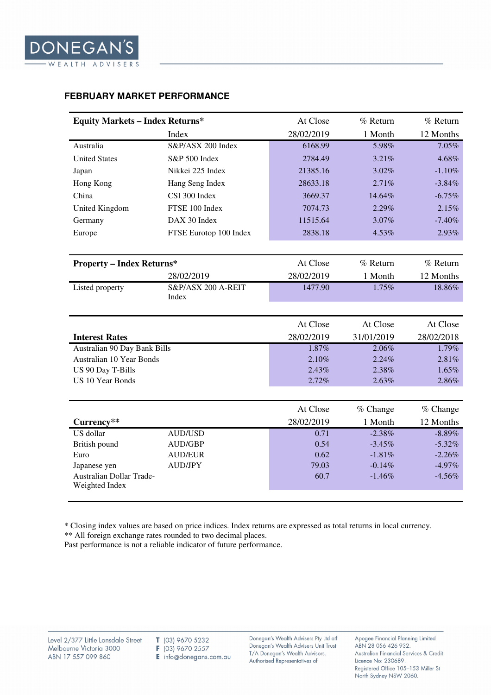## **FEBRUARY MARKET PERFORMANCE**

| <b>Equity Markets - Index Returns*</b>     |                             | At Close   | $%$ Return | % Return   |
|--------------------------------------------|-----------------------------|------------|------------|------------|
|                                            | Index                       | 28/02/2019 | 1 Month    | 12 Months  |
| Australia                                  | S&P/ASX 200 Index           | 6168.99    | 5.98%      | 7.05%      |
| <b>United States</b>                       | S&P 500 Index               | 2784.49    | 3.21%      | 4.68%      |
| Japan                                      | Nikkei 225 Index            | 21385.16   | 3.02%      | $-1.10%$   |
| Hong Kong                                  | Hang Seng Index             | 28633.18   | 2.71%      | $-3.84%$   |
| China                                      | CSI 300 Index               | 3669.37    | 14.64%     | $-6.75%$   |
| <b>United Kingdom</b>                      | FTSE 100 Index              | 7074.73    | 2.29%      | 2.15%      |
| Germany                                    | DAX 30 Index                | 11515.64   | 3.07%      | $-7.40%$   |
| Europe                                     | FTSE Eurotop 100 Index      | 2838.18    | 4.53%      | 2.93%      |
|                                            |                             |            |            |            |
| <b>Property - Index Returns*</b>           |                             | At Close   | $%$ Return | % Return   |
|                                            | 28/02/2019                  | 28/02/2019 | 1 Month    | 12 Months  |
| Listed property                            | S&P/ASX 200 A-REIT<br>Index | 1477.90    | 1.75%      | 18.86%     |
|                                            |                             |            |            |            |
|                                            |                             | At Close   | At Close   | At Close   |
| <b>Interest Rates</b>                      |                             | 28/02/2019 | 31/01/2019 | 28/02/2018 |
| Australian 90 Day Bank Bills               |                             | 1.87%      | 2.06%      | 1.79%      |
| <b>Australian 10 Year Bonds</b>            |                             | 2.10%      | 2.24%      | 2.81%      |
| US 90 Day T-Bills                          |                             | 2.43%      | 2.38%      | 1.65%      |
| <b>US 10 Year Bonds</b>                    |                             | 2.72%      | 2.63%      | 2.86%      |
|                                            |                             |            |            |            |
|                                            |                             | At Close   | % Change   | % Change   |
| Currency**                                 |                             | 28/02/2019 | 1 Month    | 12 Months  |
| US dollar                                  | <b>AUD/USD</b>              | 0.71       | $-2.38%$   | $-8.89%$   |
| British pound                              | <b>AUD/GBP</b>              | 0.54       | $-3.45%$   | $-5.32%$   |
| Euro                                       | <b>AUD/EUR</b>              | 0.62       | $-1.81%$   | $-2.26%$   |
| Japanese yen                               | <b>AUD/JPY</b>              | 79.03      | $-0.14%$   | $-4.97%$   |
| Australian Dollar Trade-<br>Weighted Index |                             | 60.7       | $-1.46%$   | $-4.56%$   |
|                                            |                             |            |            |            |

\* Closing index values are based on price indices. Index returns are expressed as total returns in local currency.

\*\* All foreign exchange rates rounded to two decimal places.

Past performance is not a reliable indicator of future performance.

Donegan's Wealth Advisers Pty Ltd atf Donegan's Wealth Advisers Unit Trust T/A Donegan's Wealth Advisors. Authorised Representatives of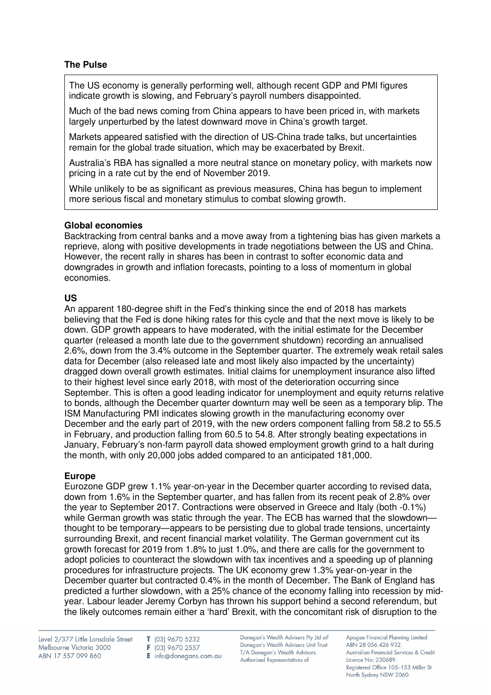# **The Pulse**

The US economy is generally performing well, although recent GDP and PMI figures indicate growth is slowing, and February's payroll numbers disappointed.

Much of the bad news coming from China appears to have been priced in, with markets largely unperturbed by the latest downward move in China's growth target.

Markets appeared satisfied with the direction of US-China trade talks, but uncertainties remain for the global trade situation, which may be exacerbated by Brexit.

Australia's RBA has signalled a more neutral stance on monetary policy, with markets now pricing in a rate cut by the end of November 2019.

While unlikely to be as significant as previous measures, China has begun to implement more serious fiscal and monetary stimulus to combat slowing growth.

## **Global economies**

Backtracking from central banks and a move away from a tightening bias has given markets a reprieve, along with positive developments in trade negotiations between the US and China. However, the recent rally in shares has been in contrast to softer economic data and downgrades in growth and inflation forecasts, pointing to a loss of momentum in global economies.

# **US**

An apparent 180-degree shift in the Fed's thinking since the end of 2018 has markets believing that the Fed is done hiking rates for this cycle and that the next move is likely to be down. GDP growth appears to have moderated, with the initial estimate for the December quarter (released a month late due to the government shutdown) recording an annualised 2.6%, down from the 3.4% outcome in the September quarter. The extremely weak retail sales data for December (also released late and most likely also impacted by the uncertainty) dragged down overall growth estimates. Initial claims for unemployment insurance also lifted to their highest level since early 2018, with most of the deterioration occurring since September. This is often a good leading indicator for unemployment and equity returns relative to bonds, although the December quarter downturn may well be seen as a temporary blip. The ISM Manufacturing PMI indicates slowing growth in the manufacturing economy over December and the early part of 2019, with the new orders component falling from 58.2 to 55.5 in February, and production falling from 60.5 to 54.8. After strongly beating expectations in January, February's non-farm payroll data showed employment growth grind to a halt during the month, with only 20,000 jobs added compared to an anticipated 181,000.

# **Europe**

Eurozone GDP grew 1.1% year-on-year in the December quarter according to revised data, down from 1.6% in the September quarter, and has fallen from its recent peak of 2.8% over the year to September 2017. Contractions were observed in Greece and Italy (both -0.1%) while German growth was static through the year. The ECB has warned that the slowdownthought to be temporary—appears to be persisting due to global trade tensions, uncertainty surrounding Brexit, and recent financial market volatility. The German government cut its growth forecast for 2019 from 1.8% to just 1.0%, and there are calls for the government to adopt policies to counteract the slowdown with tax incentives and a speeding up of planning procedures for infrastructure projects. The UK economy grew 1.3% year-on-year in the December quarter but contracted 0.4% in the month of December. The Bank of England has predicted a further slowdown, with a 25% chance of the economy falling into recession by midyear. Labour leader Jeremy Corbyn has thrown his support behind a second referendum, but the likely outcomes remain either a 'hard' Brexit, with the concomitant risk of disruption to the

Level 2/377 Little Lonsdale Street Melbourne Victoria 3000 ABN 17 557 099 860

T (03) 9670 5232 F (03) 9670 2557 E info@donegans.com.au Donegan's Wealth Advisers Pty Ltd atf Donegan's Wealth Advisers Unit Trust T/A Donegan's Wealth Advisors. Authorised Representatives of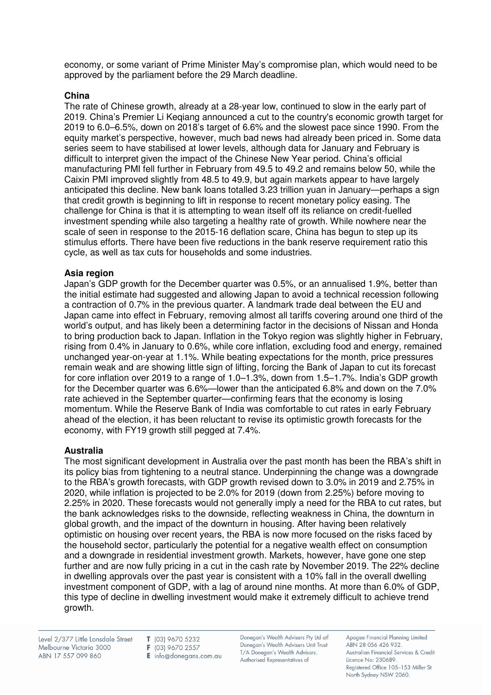economy, or some variant of Prime Minister May's compromise plan, which would need to be approved by the parliament before the 29 March deadline.

## **China**

The rate of Chinese growth, already at a 28-year low, continued to slow in the early part of 2019. China's Premier Li Keqiang announced a cut to the country's economic growth target for 2019 to 6.0–6.5%, down on 2018's target of 6.6% and the slowest pace since 1990. From the equity market's perspective, however, much bad news had already been priced in. Some data series seem to have stabilised at lower levels, although data for January and February is difficult to interpret given the impact of the Chinese New Year period. China's official manufacturing PMI fell further in February from 49.5 to 49.2 and remains below 50, while the Caixin PMI improved slightly from 48.5 to 49.9, but again markets appear to have largely anticipated this decline. New bank loans totalled 3.23 trillion yuan in January—perhaps a sign that credit growth is beginning to lift in response to recent monetary policy easing. The challenge for China is that it is attempting to wean itself off its reliance on credit-fuelled investment spending while also targeting a healthy rate of growth. While nowhere near the scale of seen in response to the 2015-16 deflation scare, China has begun to step up its stimulus efforts. There have been five reductions in the bank reserve requirement ratio this cycle, as well as tax cuts for households and some industries.

## **Asia region**

Japan's GDP growth for the December quarter was 0.5%, or an annualised 1.9%, better than the initial estimate had suggested and allowing Japan to avoid a technical recession following a contraction of 0.7% in the previous quarter. A landmark trade deal between the EU and Japan came into effect in February, removing almost all tariffs covering around one third of the world's output, and has likely been a determining factor in the decisions of Nissan and Honda to bring production back to Japan. Inflation in the Tokyo region was slightly higher in February, rising from 0.4% in January to 0.6%, while core inflation, excluding food and energy, remained unchanged year-on-year at 1.1%. While beating expectations for the month, price pressures remain weak and are showing little sign of lifting, forcing the Bank of Japan to cut its forecast for core inflation over 2019 to a range of 1.0–1.3%, down from 1.5–1.7%. India's GDP growth for the December quarter was 6.6%—lower than the anticipated 6.8% and down on the 7.0% rate achieved in the September quarter—confirming fears that the economy is losing momentum. While the Reserve Bank of India was comfortable to cut rates in early February ahead of the election, it has been reluctant to revise its optimistic growth forecasts for the economy, with FY19 growth still pegged at 7.4%.

# **Australia**

The most significant development in Australia over the past month has been the RBA's shift in its policy bias from tightening to a neutral stance. Underpinning the change was a downgrade to the RBA's growth forecasts, with GDP growth revised down to 3.0% in 2019 and 2.75% in 2020, while inflation is projected to be 2.0% for 2019 (down from 2.25%) before moving to 2.25% in 2020. These forecasts would not generally imply a need for the RBA to cut rates, but the bank acknowledges risks to the downside, reflecting weakness in China, the downturn in global growth, and the impact of the downturn in housing. After having been relatively optimistic on housing over recent years, the RBA is now more focused on the risks faced by the household sector, particularly the potential for a negative wealth effect on consumption and a downgrade in residential investment growth. Markets, however, have gone one step further and are now fully pricing in a cut in the cash rate by November 2019. The 22% decline in dwelling approvals over the past year is consistent with a 10% fall in the overall dwelling investment component of GDP, with a lag of around nine months. At more than 6.0% of GDP, this type of decline in dwelling investment would make it extremely difficult to achieve trend growth.

Level 2/377 Little Lonsdale Street Melbourne Victoria 3000 ABN 17 557 099 860

T (03) 9670 5232 F (03) 9670 2557 E info@donegans.com.au Donegan's Wealth Advisers Pty Ltd atf Donegan's Wealth Advisers Unit Trust T/A Donegan's Wealth Advisors. Authorised Representatives of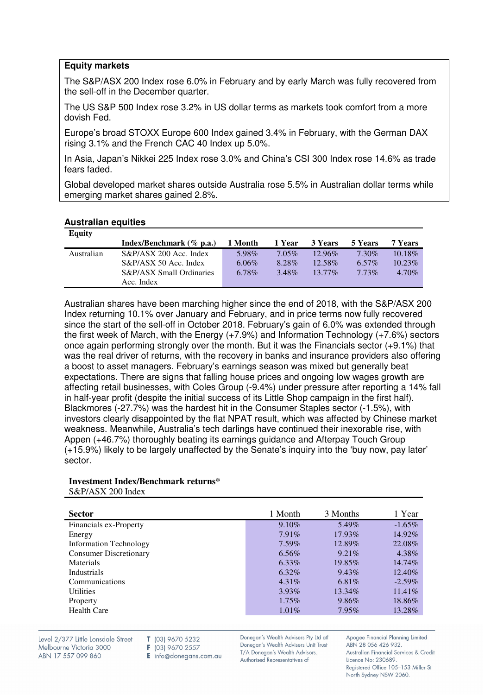## **Equity markets**

The S&P/ASX 200 Index rose 6.0% in February and by early March was fully recovered from the sell-off in the December quarter.

The US S&P 500 Index rose 3.2% in US dollar terms as markets took comfort from a more dovish Fed.

Europe's broad STOXX Europe 600 Index gained 3.4% in February, with the German DAX rising 3.1% and the French CAC 40 Index up 5.0%.

In Asia, Japan's Nikkei 225 Index rose 3.0% and China's CSI 300 Index rose 14.6% as trade fears faded.

Global developed market shares outside Australia rose 5.5% in Australian dollar terms while emerging market shares gained 2.8%.

### **Australian equities**

| <b>Equity</b> |                                     |          |          |           |          |           |
|---------------|-------------------------------------|----------|----------|-----------|----------|-----------|
|               | Index/Benchmark $(\%$ p.a.)         | 1 Month  | 1 Year   | 3 Years   | 5 Years  | 7 Years   |
| Australian    | S&P/ASX 200 Acc. Index              | 5.98%    | $7.05\%$ | $12.96\%$ | $7.30\%$ | $10.18\%$ |
|               | $S\&P/ASX$ 50 Acc. Index            | $6.06\%$ | 8.28%    | $12.58\%$ | $6.57\%$ | $10.23\%$ |
|               | <b>S&amp;P/ASX Small Ordinaries</b> | 6.78%    | 3.48%    | $13.77\%$ | 773%     | $4.70\%$  |
|               | Acc. Index                          |          |          |           |          |           |

Australian shares have been marching higher since the end of 2018, with the S&P/ASX 200 Index returning 10.1% over January and February, and in price terms now fully recovered since the start of the sell-off in October 2018. February's gain of 6.0% was extended through the first week of March, with the Energy (+7.9%) and Information Technology (+7.6%) sectors once again performing strongly over the month. But it was the Financials sector (+9.1%) that was the real driver of returns, with the recovery in banks and insurance providers also offering a boost to asset managers. February's earnings season was mixed but generally beat expectations. There are signs that falling house prices and ongoing low wages growth are affecting retail businesses, with Coles Group (-9.4%) under pressure after reporting a 14% fall in half-year profit (despite the initial success of its Little Shop campaign in the first half). Blackmores (-27.7%) was the hardest hit in the Consumer Staples sector (-1.5%), with investors clearly disappointed by the flat NPAT result, which was affected by Chinese market weakness. Meanwhile, Australia's tech darlings have continued their inexorable rise, with Appen (+46.7%) thoroughly beating its earnings guidance and Afterpay Touch Group (+15.9%) likely to be largely unaffected by the Senate's inquiry into the 'buy now, pay later' sector.

#### **Investment Index/Benchmark returns\*** S&P/ASX 200 Index

| <b>Sector</b>                 | 1 Month  | 3 Months | 1 Year    |
|-------------------------------|----------|----------|-----------|
| Financials ex-Property        | 9.10%    | $5.49\%$ | $-1.65\%$ |
| Energy                        | $7.91\%$ | 17.93%   | 14.92%    |
| <b>Information Technology</b> | $7.59\%$ | 12.89%   | 22.08%    |
| <b>Consumer Discretionary</b> | $6.56\%$ | $9.21\%$ | 4.38%     |
| Materials                     | 6.33%    | 19.85%   | 14.74%    |
| Industrials                   | 6.32%    | $9.43\%$ | 12.40%    |
| Communications                | $4.31\%$ | 6.81\%   | $-2.59\%$ |
| <b>Utilities</b>              | $3.93\%$ | 13.34%   | $11.41\%$ |
| Property                      | $1.75\%$ | $9.86\%$ | 18.86%    |
| <b>Health Care</b>            | $1.01\%$ | $7.95\%$ | 13.28%    |
|                               |          |          |           |

Level 2/377 Little Lonsdale Street Melbourne Victoria 3000 ABN 17 557 099 860

T (03) 9670 5232 F (03) 9670 2557

E info@donegans.com.au

Donegan's Wealth Advisers Pty Ltd atf Donegan's Wealth Advisers Unit Trust T/A Donegan's Wealth Advisors. Authorised Representatives of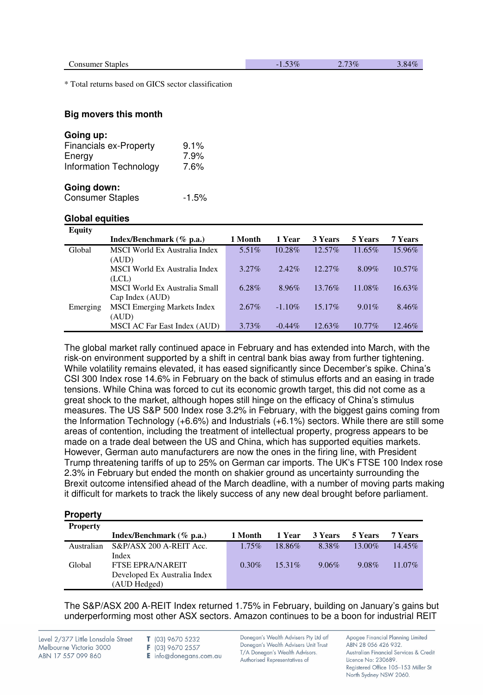\* Total returns based on GICS sector classification

#### **Big movers this month**

| Going up:                     |         |
|-------------------------------|---------|
| <b>Financials ex-Property</b> | 9.1%    |
| Energy                        | 7.9%    |
| <b>Information Technology</b> | 7.6%    |
| Going down:                   |         |
| <b>Consumer Staples</b>       | $-1.5%$ |

#### **Global equities**

| <b>Equity</b> |                                      |          |           |           |           |           |
|---------------|--------------------------------------|----------|-----------|-----------|-----------|-----------|
|               | Index/Benchmark $(\%$ p.a.)          | 1 Month  | 1 Year    | 3 Years   | 5 Years   | 7 Years   |
| Global        | MSCI World Ex Australia Index        | $5.51\%$ | 10.28%    | 12.57%    | 11.65%    | 15.96%    |
|               | (AUD)                                |          |           |           |           |           |
|               | <b>MSCI World Ex Australia Index</b> | $3.27\%$ | $2.42\%$  | $12.27\%$ | 8.09%     | $10.57\%$ |
|               | (LCL)                                |          |           |           |           |           |
|               | MSCI World Ex Australia Small        | 6.28%    | $8.96\%$  | 13.76%    | 11.08%    | $16.63\%$ |
|               | Cap Index (AUD)                      |          |           |           |           |           |
| Emerging      | <b>MSCI</b> Emerging Markets Index   | $2.67\%$ | $-1.10\%$ | $15.17\%$ | $9.01\%$  | 8.46%     |
|               | (AUD)                                |          |           |           |           |           |
|               | MSCI AC Far East Index (AUD)         | 3.73%    | $-0.44\%$ | 12.63%    | $10.77\%$ | 12.46\%   |

The global market rally continued apace in February and has extended into March, with the risk-on environment supported by a shift in central bank bias away from further tightening. While volatility remains elevated, it has eased significantly since December's spike. China's CSI 300 Index rose 14.6% in February on the back of stimulus efforts and an easing in trade tensions. While China was forced to cut its economic growth target, this did not come as a great shock to the market, although hopes still hinge on the efficacy of China's stimulus measures. The US S&P 500 Index rose 3.2% in February, with the biggest gains coming from the Information Technology (+6.6%) and Industrials (+6.1%) sectors. While there are still some areas of contention, including the treatment of intellectual property, progress appears to be made on a trade deal between the US and China, which has supported equities markets. However, German auto manufacturers are now the ones in the firing line, with President Trump threatening tariffs of up to 25% on German car imports. The UK's FTSE 100 Index rose 2.3% in February but ended the month on shakier ground as uncertainty surrounding the Brexit outcome intensified ahead of the March deadline, with a number of moving parts making it difficult for markets to track the likely success of any new deal brought before parliament.

#### **Property**

| <b>Property</b> |                              |          |           |          |           |           |
|-----------------|------------------------------|----------|-----------|----------|-----------|-----------|
|                 | Index/Benchmark $(\%$ p.a.)  | 1 Month  | 1 Year    | 3 Years  | 5 Years   | 7 Years   |
| Australian      | S&P/ASX 200 A-REIT Acc.      | $1.75\%$ | 18.86%    | 8.38%    | $13.00\%$ | $14.45\%$ |
|                 | Index                        |          |           |          |           |           |
| Global          | <b>FTSE EPRA/NAREIT</b>      | $0.30\%$ | $15.31\%$ | $9.06\%$ | $9.08\%$  | 11.07%    |
|                 | Developed Ex Australia Index |          |           |          |           |           |
|                 | (AUD Hedged)                 |          |           |          |           |           |

The S&P/ASX 200 A-REIT Index returned 1.75% in February, building on January's gains but underperforming most other ASX sectors. Amazon continues to be a boon for industrial REIT

Level 2/377 Little Lonsdale Street Melbourne Victoria 3000 ABN 17 557 099 860

T (03) 9670 5232 F (03) 9670 2557

E info@donegans.com.au

Donegan's Wealth Advisers Pty Ltd atf Donegan's Wealth Advisers Unit Trust T/A Donegan's Wealth Advisors. Authorised Representatives of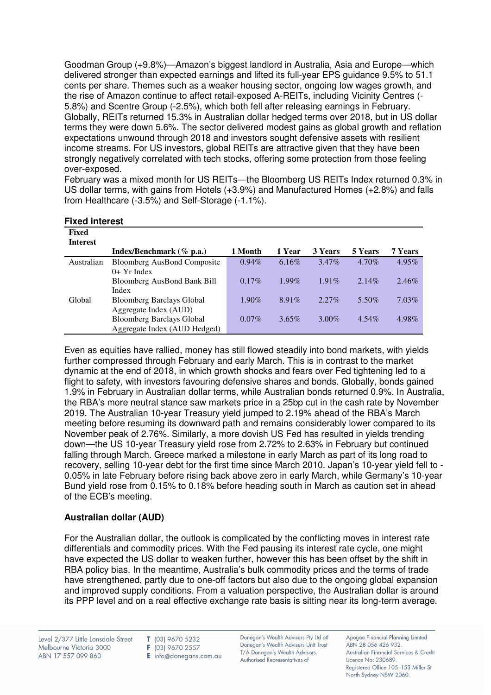Goodman Group (+9.8%)—Amazon's biggest landlord in Australia, Asia and Europe—which delivered stronger than expected earnings and lifted its full-year EPS guidance 9.5% to 51.1 cents per share. Themes such as a weaker housing sector, ongoing low wages growth, and the rise of Amazon continue to affect retail-exposed A-REITs, including Vicinity Centres (- 5.8%) and Scentre Group (-2.5%), which both fell after releasing earnings in February. Globally, REITs returned 15.3% in Australian dollar hedged terms over 2018, but in US dollar terms they were down 5.6%. The sector delivered modest gains as global growth and reflation expectations unwound through 2018 and investors sought defensive assets with resilient income streams. For US investors, global REITs are attractive given that they have been strongly negatively correlated with tech stocks, offering some protection from those feeling over-exposed.

February was a mixed month for US REITs—the Bloomberg US REITs Index returned 0.3% in US dollar terms, with gains from Hotels (+3.9%) and Manufactured Homes (+2.8%) and falls from Healthcare (-3.5%) and Self-Storage (-1.1%).

| Fixed<br><b>Interest</b> |                                    |          |          |          |          |          |
|--------------------------|------------------------------------|----------|----------|----------|----------|----------|
|                          | Index/Benchmark $(\%$ p.a.)        | 1 Month  | 1 Year   | 3 Years  | 5 Years  | 7 Years  |
| Australian               | <b>Bloomberg AusBond Composite</b> | $0.94\%$ | $6.16\%$ | $3.47\%$ | $4.70\%$ | $4.95\%$ |
|                          | $0+$ Yr Index                      |          |          |          |          |          |
|                          | Bloomberg AusBond Bank Bill        | $0.17\%$ | $1.99\%$ | $1.91\%$ | $2.14\%$ | 2.46%    |
|                          | Index                              |          |          |          |          |          |
| Global                   | <b>Bloomberg Barclays Global</b>   | $1.90\%$ | $8.91\%$ | $2.27\%$ | 5.50%    | $7.03\%$ |
|                          | Aggregate Index (AUD)              |          |          |          |          |          |
|                          | <b>Bloomberg Barclays Global</b>   | $0.07\%$ | $3.65\%$ | $3.00\%$ | $4.54\%$ | 4.98%    |
|                          | Aggregate Index (AUD Hedged)       |          |          |          |          |          |

#### **Fixed interest**

Even as equities have rallied, money has still flowed steadily into bond markets, with yields further compressed through February and early March. This is in contrast to the market dynamic at the end of 2018, in which growth shocks and fears over Fed tightening led to a flight to safety, with investors favouring defensive shares and bonds. Globally, bonds gained 1.9% in February in Australian dollar terms, while Australian bonds returned 0.9%. In Australia, the RBA's more neutral stance saw markets price in a 25bp cut in the cash rate by November 2019. The Australian 10-year Treasury yield jumped to 2.19% ahead of the RBA's March meeting before resuming its downward path and remains considerably lower compared to its November peak of 2.76%. Similarly, a more dovish US Fed has resulted in yields trending down—the US 10-year Treasury yield rose from 2.72% to 2.63% in February but continued falling through March. Greece marked a milestone in early March as part of its long road to recovery, selling 10-year debt for the first time since March 2010. Japan's 10-year yield fell to - 0.05% in late February before rising back above zero in early March, while Germany's 10-year Bund yield rose from 0.15% to 0.18% before heading south in March as caution set in ahead of the ECB's meeting.

# **Australian dollar (AUD)**

For the Australian dollar, the outlook is complicated by the conflicting moves in interest rate differentials and commodity prices. With the Fed pausing its interest rate cycle, one might have expected the US dollar to weaken further, however this has been offset by the shift in RBA policy bias. In the meantime, Australia's bulk commodity prices and the terms of trade have strengthened, partly due to one-off factors but also due to the ongoing global expansion and improved supply conditions. From a valuation perspective, the Australian dollar is around its PPP level and on a real effective exchange rate basis is sitting near its long-term average.

T (03) 9670 5232 F (03) 9670 2557 E info@donegans.com.au Donegan's Wealth Advisers Pty Ltd atf Donegan's Wealth Advisers Unit Trust T/A Donegan's Wealth Advisors. Authorised Representatives of